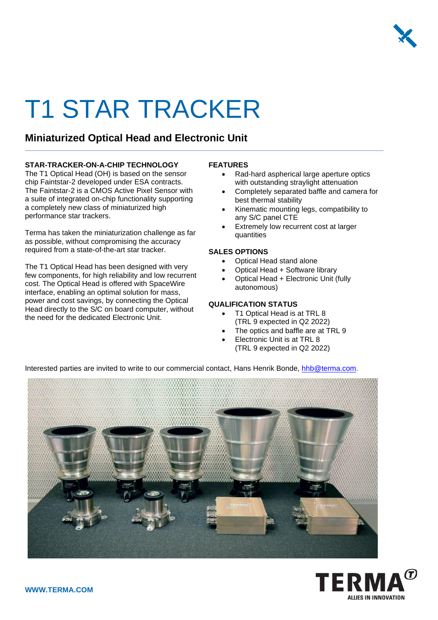

# T1 STAR TRACKER

### **Miniaturized Optical Head and Electronic Unit**

#### **STAR-TRACKER-ON-A-CHIP TECHNOLOGY**

The T1 Optical Head (OH) is based on the sensor chip Faintstar-2 developed under ESA contracts. The Faintstar-2 is a CMOS Active Pixel Sensor with a suite of integrated on-chip functionality supporting a completely new class of miniaturized high performance star trackers.

Terma has taken the miniaturization challenge as far as possible, without compromising the accuracy required from a state-of-the-art star tracker.

The T1 Optical Head has been designed with very few components, for high reliability and low recurrent cost. The Optical Head is offered with SpaceWire interface, enabling an optimal solution for mass, power and cost savings, by connecting the Optical Head directly to the S/C on board computer, without the need for the dedicated Electronic Unit.

#### **FEATURES**

- Rad-hard aspherical large aperture optics with outstanding straylight attenuation
- Completely separated baffle and camera for best thermal stability
- Kinematic mounting legs, compatibility to any S/C panel CTE
- Extremely low recurrent cost at larger quantities

#### **SALES OPTIONS**

- Optical Head stand alone
- Optical Head + Software library
- Optical Head + Electronic Unit (fully autonomous)

#### **QUALIFICATION STATUS**

- T1 Optical Head is at TRL 8 (TRL 9 expected in Q2 2022)
- The optics and baffle are at TRL 9
- Electronic Unit is at TRL 8 (TRL 9 expected in Q2 2022)

Interested parties are invited to write to our commercial contact, Hans Henrik Bonde, [hhb@terma.com.](mailto:hhb@terma.com)



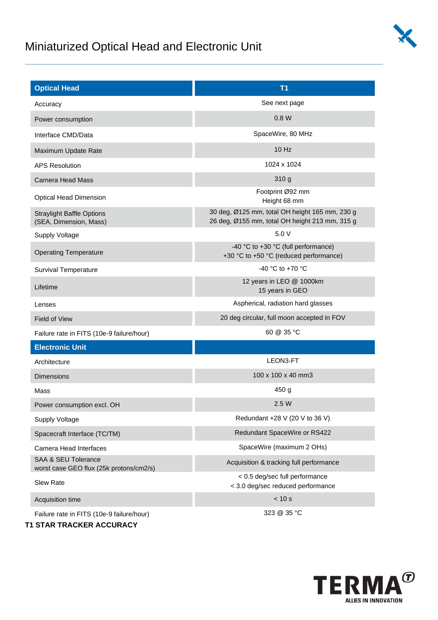## Miniaturized Optical Head and Electronic Unit



| <b>Optical Head</b>                                                       | T <sub>1</sub>                                                                                   |  |  |
|---------------------------------------------------------------------------|--------------------------------------------------------------------------------------------------|--|--|
| Accuracy                                                                  | See next page                                                                                    |  |  |
| Power consumption                                                         | 0.8 W                                                                                            |  |  |
| Interface CMD/Data                                                        | SpaceWire, 80 MHz                                                                                |  |  |
| Maximum Update Rate                                                       | 10 Hz                                                                                            |  |  |
| <b>APS Resolution</b>                                                     | 1024 x 1024                                                                                      |  |  |
| <b>Camera Head Mass</b>                                                   | 310 g                                                                                            |  |  |
| <b>Optical Head Dimension</b>                                             | Footprint Ø92 mm<br>Height 68 mm                                                                 |  |  |
| <b>Straylight Baffle Options</b><br>(SEA, Dimension, Mass)                | 30 deg, Ø125 mm, total OH height 165 mm, 230 g<br>26 deg, Ø155 mm, total OH height 213 mm, 315 g |  |  |
| Supply Voltage                                                            | 5.0 V                                                                                            |  |  |
| <b>Operating Temperature</b>                                              | -40 °C to +30 °C (full performance)<br>+30 °C to +50 °C (reduced performance)                    |  |  |
| <b>Survival Temperature</b>                                               | -40 °C to +70 °C                                                                                 |  |  |
| Lifetime                                                                  | 12 years in LEO @ 1000km<br>15 years in GEO                                                      |  |  |
| Lenses                                                                    | Aspherical, radiation hard glasses                                                               |  |  |
| <b>Field of View</b>                                                      | 20 deg circular, full moon accepted in FOV                                                       |  |  |
| Failure rate in FITS (10e-9 failure/hour)                                 | 60 @ 35 °C                                                                                       |  |  |
| <b>Electronic Unit</b>                                                    |                                                                                                  |  |  |
| Architecture                                                              | LEON3-FT                                                                                         |  |  |
| <b>Dimensions</b>                                                         | 100 x 100 x 40 mm3                                                                               |  |  |
| Mass                                                                      | 450 g                                                                                            |  |  |
| Power consumption excl. OH                                                | 2.5W                                                                                             |  |  |
| <b>Supply Voltage</b>                                                     | Redundant +28 V (20 V to 36 V)                                                                   |  |  |
| Spacecraft Interface (TC/TM)                                              | Redundant SpaceWire or RS422                                                                     |  |  |
| Camera Head Interfaces                                                    | SpaceWire (maximum 2 OHs)                                                                        |  |  |
| <b>SAA &amp; SEU Tolerance</b><br>worst case GEO flux (25k protons/cm2/s) | Acquisition & tracking full performance                                                          |  |  |
| Slew Rate                                                                 | < 0.5 deg/sec full performance<br>< 3.0 deg/sec reduced performance                              |  |  |
| Acquisition time                                                          | < 10 s                                                                                           |  |  |
| Failure rate in FITS (10e-9 failure/hour)                                 | 323 @ 35 °C                                                                                      |  |  |

**T1 STAR TRACKER ACCURACY**

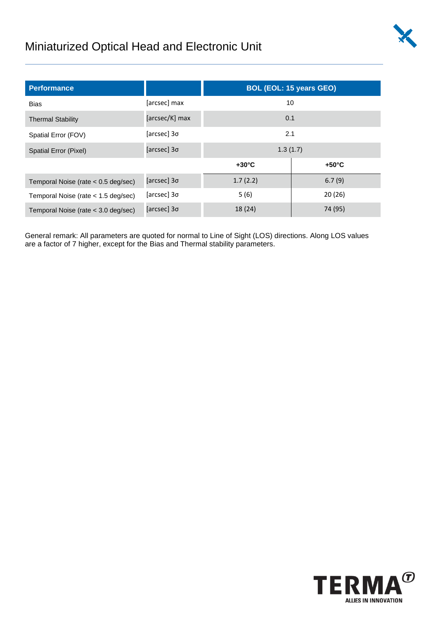

## Miniaturized Optical Head and Electronic Unit

| <b>Performance</b>                    |                | <b>BOL (EOL: 15 years GEO)</b> |                 |  |
|---------------------------------------|----------------|--------------------------------|-----------------|--|
| <b>Bias</b>                           | [arcsec] max   | 10                             |                 |  |
| <b>Thermal Stability</b>              | [arcsec/K] max | 0.1                            |                 |  |
| Spatial Error (FOV)                   | [arcsec] 3σ    | 2.1                            |                 |  |
| Spatial Error (Pixel)                 | [arcsec] 3o    | 1.3(1.7)                       |                 |  |
|                                       |                | $+30^{\circ}$ C                | $+50^{\circ}$ C |  |
| Temporal Noise (rate $< 0.5$ deg/sec) | [arcsec] 3o    | 1.7(2.2)                       | 6.7(9)          |  |
| Temporal Noise (rate $<$ 1.5 deg/sec) | [arcsec] 3o    | 5(6)                           | 20(26)          |  |
| Temporal Noise (rate < 3.0 deg/sec)   | [arcsec] 3o    | 18 (24)                        | 74 (95)         |  |

General remark: All parameters are quoted for normal to Line of Sight (LOS) directions. Along LOS values are a factor of 7 higher, except for the Bias and Thermal stability parameters.